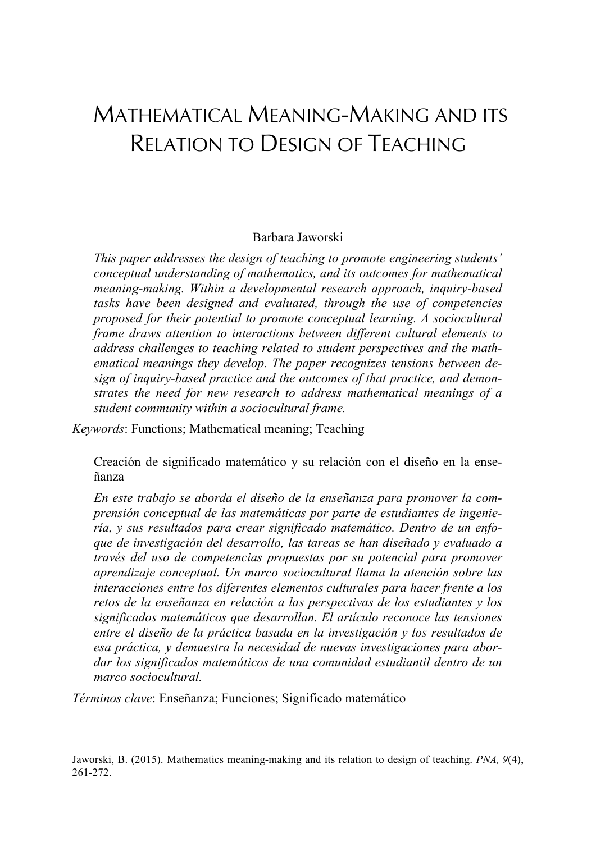# MATHEMATICAL MEANING-MAKING AND ITS RELATION TO DESIGN OF TEACHING

#### Barbara Jaworski

*This paper addresses the design of teaching to promote engineering students' conceptual understanding of mathematics, and its outcomes for mathematical meaning-making. Within a developmental research approach, inquiry-based tasks have been designed and evaluated, through the use of competencies proposed for their potential to promote conceptual learning. A sociocultural frame draws attention to interactions between different cultural elements to address challenges to teaching related to student perspectives and the mathematical meanings they develop. The paper recognizes tensions between design of inquiry-based practice and the outcomes of that practice, and demonstrates the need for new research to address mathematical meanings of a student community within a sociocultural frame.*

*Keywords*: Functions; Mathematical meaning; Teaching

Creación de significado matemático y su relación con el diseño en la enseñanza

*En este trabajo se aborda el diseño de la enseñanza para promover la comprensión conceptual de las matemáticas por parte de estudiantes de ingeniería, y sus resultados para crear significado matemático. Dentro de un enfoque de investigación del desarrollo, las tareas se han diseñado y evaluado a través del uso de competencias propuestas por su potencial para promover aprendizaje conceptual. Un marco sociocultural llama la atención sobre las interacciones entre los diferentes elementos culturales para hacer frente a los retos de la enseñanza en relación a las perspectivas de los estudiantes y los significados matemáticos que desarrollan. El artículo reconoce las tensiones entre el diseño de la práctica basada en la investigación y los resultados de esa práctica, y demuestra la necesidad de nuevas investigaciones para abordar los significados matemáticos de una comunidad estudiantil dentro de un marco sociocultural.*

*Términos clave*: Enseñanza; Funciones; Significado matemático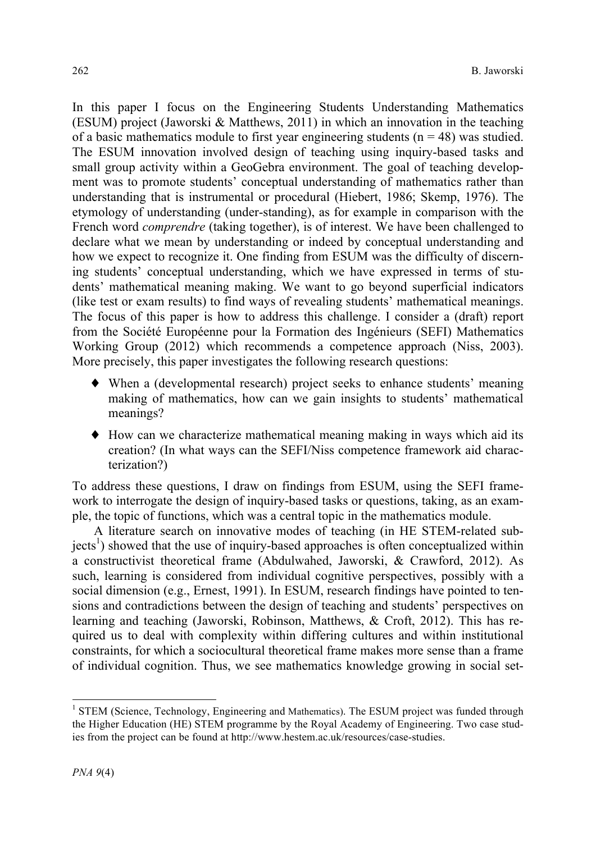In this paper I focus on the Engineering Students Understanding Mathematics (ESUM) project (Jaworski & Matthews, 2011) in which an innovation in the teaching of a basic mathematics module to first year engineering students ( $n = 48$ ) was studied. The ESUM innovation involved design of teaching using inquiry-based tasks and small group activity within a GeoGebra environment. The goal of teaching development was to promote students' conceptual understanding of mathematics rather than understanding that is instrumental or procedural (Hiebert, 1986; Skemp, 1976). The etymology of understanding (under-standing), as for example in comparison with the French word *comprendre* (taking together), is of interest. We have been challenged to declare what we mean by understanding or indeed by conceptual understanding and how we expect to recognize it. One finding from ESUM was the difficulty of discerning students' conceptual understanding, which we have expressed in terms of students' mathematical meaning making. We want to go beyond superficial indicators (like test or exam results) to find ways of revealing students' mathematical meanings. The focus of this paper is how to address this challenge. I consider a (draft) report from the Société Européenne pour la Formation des Ingénieurs (SEFI) Mathematics Working Group (2012) which recommends a competence approach (Niss, 2003). More precisely, this paper investigates the following research questions:

- ♦ When a (developmental research) project seeks to enhance students' meaning making of mathematics, how can we gain insights to students' mathematical meanings?
- ♦ How can we characterize mathematical meaning making in ways which aid its creation? (In what ways can the SEFI/Niss competence framework aid characterization?)

To address these questions, I draw on findings from ESUM, using the SEFI framework to interrogate the design of inquiry-based tasks or questions, taking, as an example, the topic of functions, which was a central topic in the mathematics module.

A literature search on innovative modes of teaching (in HE STEM-related sub $jects<sup>1</sup>$ ) showed that the use of inquiry-based approaches is often conceptualized within a constructivist theoretical frame (Abdulwahed, Jaworski, & Crawford, 2012). As such, learning is considered from individual cognitive perspectives, possibly with a social dimension (e.g., Ernest, 1991). In ESUM, research findings have pointed to tensions and contradictions between the design of teaching and students' perspectives on learning and teaching (Jaworski, Robinson, Matthews, & Croft, 2012). This has required us to deal with complexity within differing cultures and within institutional constraints, for which a sociocultural theoretical frame makes more sense than a frame of individual cognition. Thus, we see mathematics knowledge growing in social set-

<sup>&</sup>lt;sup>1</sup> STEM (Science, Technology, Engineering and Mathematics). The ESUM project was funded through the Higher Education (HE) STEM programme by the Royal Academy of Engineering. Two case studies from the project can be found at http://www.hestem.ac.uk/resources/case-studies.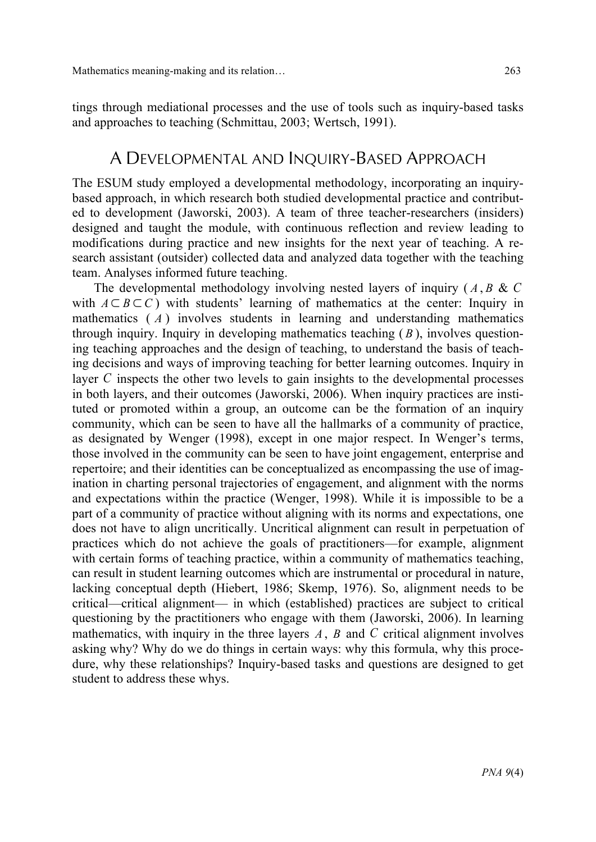tings through mediational processes and the use of tools such as inquiry-based tasks and approaches to teaching (Schmittau, 2003; Wertsch, 1991).

### A DEVELOPMENTAL AND INQUIRY-BASED APPROACH

The ESUM study employed a developmental methodology, incorporating an inquirybased approach, in which research both studied developmental practice and contributed to development (Jaworski, 2003). A team of three teacher-researchers (insiders) designed and taught the module, with continuous reflection and review leading to modifications during practice and new insights for the next year of teaching. A research assistant (outsider) collected data and analyzed data together with the teaching team. Analyses informed future teaching.

The developmental methodology involving nested layers of inquiry ( *A* , *B* & *C* with  $A \subseteq B \subseteq C$ ) with students' learning of mathematics at the center: Inquiry in mathematics ( *A* ) involves students in learning and understanding mathematics through inquiry. Inquiry in developing mathematics teaching ( *B* ), involves questioning teaching approaches and the design of teaching, to understand the basis of teaching decisions and ways of improving teaching for better learning outcomes. Inquiry in layer *C* inspects the other two levels to gain insights to the developmental processes in both layers, and their outcomes (Jaworski, 2006). When inquiry practices are instituted or promoted within a group, an outcome can be the formation of an inquiry community, which can be seen to have all the hallmarks of a community of practice, as designated by Wenger (1998), except in one major respect. In Wenger's terms, those involved in the community can be seen to have joint engagement, enterprise and repertoire; and their identities can be conceptualized as encompassing the use of imagination in charting personal trajectories of engagement, and alignment with the norms and expectations within the practice (Wenger, 1998). While it is impossible to be a part of a community of practice without aligning with its norms and expectations, one does not have to align uncritically. Uncritical alignment can result in perpetuation of practices which do not achieve the goals of practitioners—for example, alignment with certain forms of teaching practice, within a community of mathematics teaching, can result in student learning outcomes which are instrumental or procedural in nature, lacking conceptual depth (Hiebert, 1986; Skemp, 1976). So, alignment needs to be critical—critical alignment— in which (established) practices are subject to critical questioning by the practitioners who engage with them (Jaworski, 2006). In learning mathematics, with inquiry in the three layers *A*, *B* and *C* critical alignment involves asking why? Why do we do things in certain ways: why this formula, why this procedure, why these relationships? Inquiry-based tasks and questions are designed to get student to address these whys.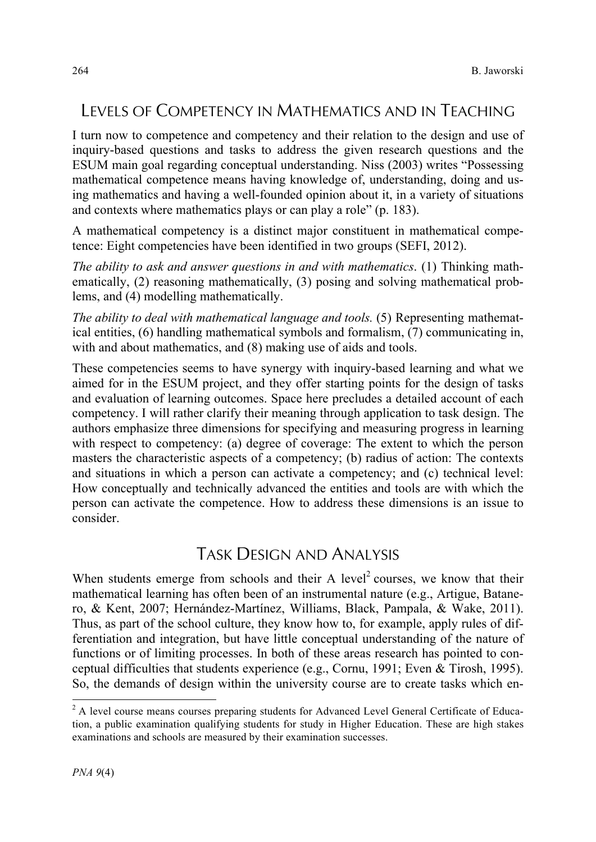# LEVELS OF COMPETENCY IN MATHEMATICS AND IN TEACHING

I turn now to competence and competency and their relation to the design and use of inquiry-based questions and tasks to address the given research questions and the ESUM main goal regarding conceptual understanding. Niss (2003) writes "Possessing mathematical competence means having knowledge of, understanding, doing and using mathematics and having a well-founded opinion about it, in a variety of situations and contexts where mathematics plays or can play a role" (p. 183).

A mathematical competency is a distinct major constituent in mathematical competence: Eight competencies have been identified in two groups (SEFI, 2012).

*The ability to ask and answer questions in and with mathematics*. (1) Thinking mathematically, (2) reasoning mathematically, (3) posing and solving mathematical problems, and (4) modelling mathematically.

*The ability to deal with mathematical language and tools.* (5) Representing mathematical entities, (6) handling mathematical symbols and formalism, (7) communicating in, with and about mathematics, and  $(8)$  making use of aids and tools.

These competencies seems to have synergy with inquiry-based learning and what we aimed for in the ESUM project, and they offer starting points for the design of tasks and evaluation of learning outcomes. Space here precludes a detailed account of each competency. I will rather clarify their meaning through application to task design. The authors emphasize three dimensions for specifying and measuring progress in learning with respect to competency: (a) degree of coverage: The extent to which the person masters the characteristic aspects of a competency; (b) radius of action: The contexts and situations in which a person can activate a competency; and (c) technical level: How conceptually and technically advanced the entities and tools are with which the person can activate the competence. How to address these dimensions is an issue to consider.

# TASK DESIGN AND ANALYSIS

When students emerge from schools and their A level<sup>2</sup> courses, we know that their mathematical learning has often been of an instrumental nature (e.g., Artigue, Batanero, & Kent, 2007; Hernández-Martínez, Williams, Black, Pampala, & Wake, 2011). Thus, as part of the school culture, they know how to, for example, apply rules of differentiation and integration, but have little conceptual understanding of the nature of functions or of limiting processes. In both of these areas research has pointed to conceptual difficulties that students experience (e.g., Cornu, 1991; Even & Tirosh, 1995). So, the demands of design within the university course are to create tasks which en-

<sup>&</sup>lt;sup>2</sup> A level course means courses preparing students for Advanced Level General Certificate of Education, a public examination qualifying students for study in Higher Education. These are high stakes examinations and schools are measured by their examination successes.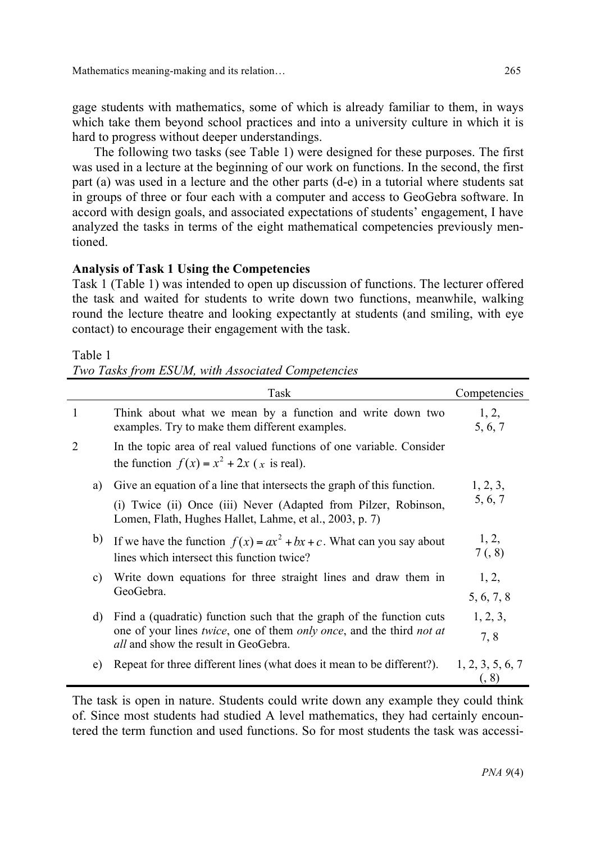Mathematics meaning-making and its relation… 265

gage students with mathematics, some of which is already familiar to them, in ways which take them beyond school practices and into a university culture in which it is hard to progress without deeper understandings.

The following two tasks (see Table 1) were designed for these purposes. The first was used in a lecture at the beginning of our work on functions. In the second, the first part (a) was used in a lecture and the other parts (d-e) in a tutorial where students sat in groups of three or four each with a computer and access to GeoGebra software. In accord with design goals, and associated expectations of students' engagement, I have analyzed the tasks in terms of the eight mathematical competencies previously mentioned.

#### **Analysis of Task 1 Using the Competencies**

Task 1 (Table 1) was intended to open up discussion of functions. The lecturer offered the task and waited for students to write down two functions, meanwhile, walking round the lecture theatre and looking expectantly at students (and smiling, with eye contact) to encourage their engagement with the task.

Table 1

*Two Tasks from ESUM, with Associated Competencies*

|                |    | Task                                                                                                                                                                                                               | Competencies              |
|----------------|----|--------------------------------------------------------------------------------------------------------------------------------------------------------------------------------------------------------------------|---------------------------|
| $\mathbf{1}$   |    | Think about what we mean by a function and write down two<br>examples. Try to make them different examples.                                                                                                        | 1, 2,<br>5, 6, 7          |
| $\overline{2}$ |    | In the topic area of real valued functions of one variable. Consider<br>the function $f(x) = x^2 + 2x$ (x is real).                                                                                                |                           |
|                | a) | Give an equation of a line that intersects the graph of this function.                                                                                                                                             | 1, 2, 3,                  |
|                |    | (i) Twice (ii) Once (iii) Never (Adapted from Pilzer, Robinson,<br>Lomen, Flath, Hughes Hallet, Lahme, et al., 2003, p. 7)                                                                                         | 5, 6, 7                   |
|                | b) | If we have the function $f(x) = ax^2 + bx + c$ . What can you say about<br>lines which intersect this function twice?                                                                                              | 1, 2,<br>7(, 8)           |
|                | c) | Write down equations for three straight lines and draw them in<br>GeoGebra.                                                                                                                                        | 1, 2,<br>5, 6, 7, 8       |
|                | d) | Find a (quadratic) function such that the graph of the function cuts<br>one of your lines <i>twice</i> , one of them <i>only once</i> , and the third <i>not at</i><br><i>all</i> and show the result in GeoGebra. | 1, 2, 3,                  |
|                |    |                                                                                                                                                                                                                    | 7,8                       |
|                | e) | Repeat for three different lines (what does it mean to be different?).                                                                                                                                             | 1, 2, 3, 5, 6, 7<br>(, 8) |
|                |    |                                                                                                                                                                                                                    |                           |

The task is open in nature. Students could write down any example they could think of. Since most students had studied A level mathematics, they had certainly encountered the term function and used functions. So for most students the task was accessi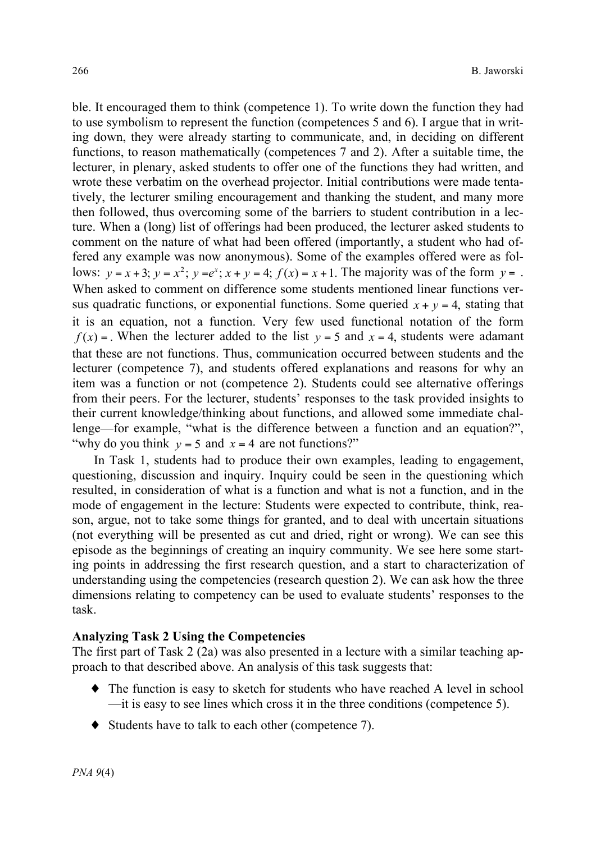ble. It encouraged them to think (competence 1). To write down the function they had to use symbolism to represent the function (competences 5 and 6). I argue that in writing down, they were already starting to communicate, and, in deciding on different functions, to reason mathematically (competences 7 and 2). After a suitable time, the lecturer, in plenary, asked students to offer one of the functions they had written, and wrote these verbatim on the overhead projector. Initial contributions were made tentatively, the lecturer smiling encouragement and thanking the student, and many more then followed, thus overcoming some of the barriers to student contribution in a lecture. When a (long) list of offerings had been produced, the lecturer asked students to comment on the nature of what had been offered (importantly, a student who had offered any example was now anonymous). Some of the examples offered were as follows:  $y = x + 3$ ;  $y = x^2$ ;  $y = e^x$ ;  $x + y = 4$ ;  $f(x) = x + 1$ . The majority was of the form  $y = 0$ . When asked to comment on difference some students mentioned linear functions versus quadratic functions, or exponential functions. Some queried  $x + y = 4$ , stating that it is an equation, not a function. Very few used functional notation of the form  $f(x) =$ . When the lecturer added to the list  $y = 5$  and  $x = 4$ , students were adamant that these are not functions. Thus, communication occurred between students and the lecturer (competence 7), and students offered explanations and reasons for why an item was a function or not (competence 2). Students could see alternative offerings from their peers. For the lecturer, students' responses to the task provided insights to their current knowledge/thinking about functions, and allowed some immediate challenge—for example, "what is the difference between a function and an equation?", "why do you think  $y = 5$  and  $x = 4$  are not functions?"

In Task 1, students had to produce their own examples, leading to engagement, questioning, discussion and inquiry. Inquiry could be seen in the questioning which resulted, in consideration of what is a function and what is not a function, and in the mode of engagement in the lecture: Students were expected to contribute, think, reason, argue, not to take some things for granted, and to deal with uncertain situations (not everything will be presented as cut and dried, right or wrong). We can see this episode as the beginnings of creating an inquiry community. We see here some starting points in addressing the first research question, and a start to characterization of understanding using the competencies (research question 2). We can ask how the three dimensions relating to competency can be used to evaluate students' responses to the task.

#### **Analyzing Task 2 Using the Competencies**

The first part of Task 2 (2a) was also presented in a lecture with a similar teaching approach to that described above. An analysis of this task suggests that:

- ♦ The function is easy to sketch for students who have reached A level in school —it is easy to see lines which cross it in the three conditions (competence 5).
- ♦ Students have to talk to each other (competence 7).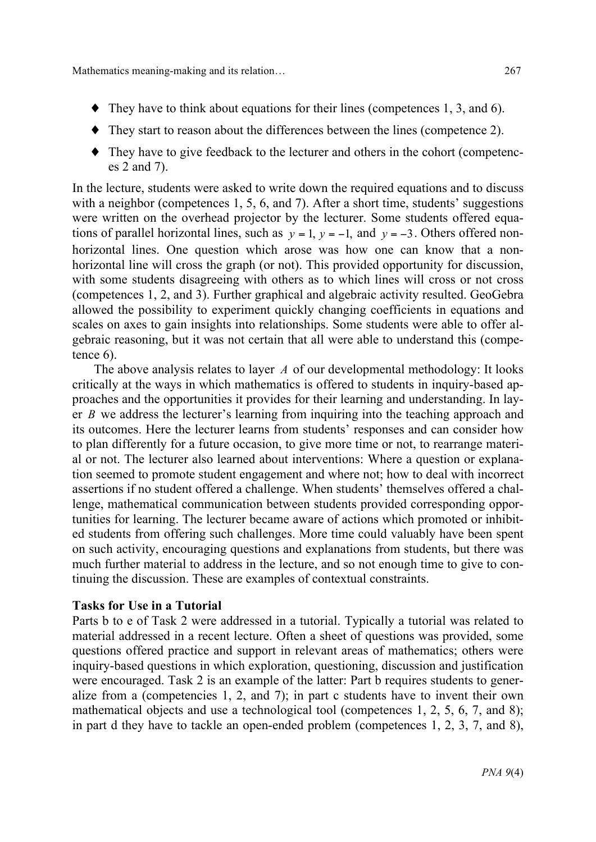- ♦ They start to reason about the differences between the lines (competence 2).
- ♦ They have to give feedback to the lecturer and others in the cohort (competences 2 and 7).

In the lecture, students were asked to write down the required equations and to discuss with a neighbor (competences 1, 5, 6, and 7). After a short time, students' suggestions were written on the overhead projector by the lecturer. Some students offered equations of parallel horizontal lines, such as  $y = 1$ ,  $y = -1$ , and  $y = -3$ . Others offered nonhorizontal lines. One question which arose was how one can know that a nonhorizontal line will cross the graph (or not). This provided opportunity for discussion, with some students disagreeing with others as to which lines will cross or not cross (competences 1, 2, and 3). Further graphical and algebraic activity resulted. GeoGebra allowed the possibility to experiment quickly changing coefficients in equations and scales on axes to gain insights into relationships. Some students were able to offer algebraic reasoning, but it was not certain that all were able to understand this (competence 6).

The above analysis relates to layer *A* of our developmental methodology: It looks critically at the ways in which mathematics is offered to students in inquiry-based approaches and the opportunities it provides for their learning and understanding. In layer *B* we address the lecturer's learning from inquiring into the teaching approach and its outcomes. Here the lecturer learns from students' responses and can consider how to plan differently for a future occasion, to give more time or not, to rearrange material or not. The lecturer also learned about interventions: Where a question or explanation seemed to promote student engagement and where not; how to deal with incorrect assertions if no student offered a challenge. When students' themselves offered a challenge, mathematical communication between students provided corresponding opportunities for learning. The lecturer became aware of actions which promoted or inhibited students from offering such challenges. More time could valuably have been spent on such activity, encouraging questions and explanations from students, but there was much further material to address in the lecture, and so not enough time to give to continuing the discussion. These are examples of contextual constraints.

#### **Tasks for Use in a Tutorial**

Parts b to e of Task 2 were addressed in a tutorial. Typically a tutorial was related to material addressed in a recent lecture. Often a sheet of questions was provided, some questions offered practice and support in relevant areas of mathematics; others were inquiry-based questions in which exploration, questioning, discussion and justification were encouraged. Task 2 is an example of the latter: Part b requires students to generalize from a (competencies 1, 2, and 7); in part c students have to invent their own mathematical objects and use a technological tool (competences 1, 2, 5, 6, 7, and 8); in part d they have to tackle an open-ended problem (competences 1, 2, 3, 7, and 8),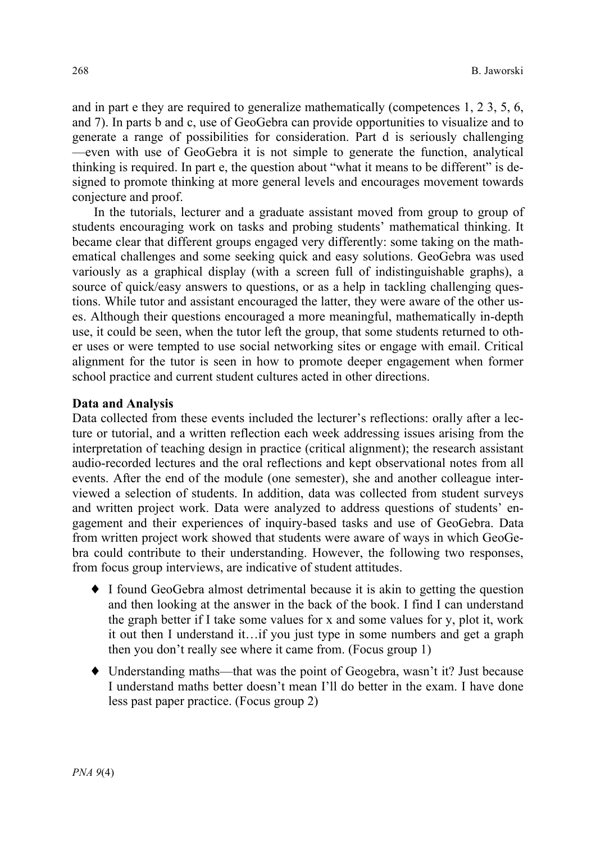and in part e they are required to generalize mathematically (competences 1, 2 3, 5, 6, and 7). In parts b and c, use of GeoGebra can provide opportunities to visualize and to generate a range of possibilities for consideration. Part d is seriously challenging —even with use of GeoGebra it is not simple to generate the function, analytical thinking is required. In part e, the question about "what it means to be different" is designed to promote thinking at more general levels and encourages movement towards conjecture and proof.

In the tutorials, lecturer and a graduate assistant moved from group to group of students encouraging work on tasks and probing students' mathematical thinking. It became clear that different groups engaged very differently: some taking on the mathematical challenges and some seeking quick and easy solutions. GeoGebra was used variously as a graphical display (with a screen full of indistinguishable graphs), a source of quick/easy answers to questions, or as a help in tackling challenging questions. While tutor and assistant encouraged the latter, they were aware of the other uses. Although their questions encouraged a more meaningful, mathematically in-depth use, it could be seen, when the tutor left the group, that some students returned to other uses or were tempted to use social networking sites or engage with email. Critical alignment for the tutor is seen in how to promote deeper engagement when former school practice and current student cultures acted in other directions.

#### **Data and Analysis**

Data collected from these events included the lecturer's reflections: orally after a lecture or tutorial, and a written reflection each week addressing issues arising from the interpretation of teaching design in practice (critical alignment); the research assistant audio-recorded lectures and the oral reflections and kept observational notes from all events. After the end of the module (one semester), she and another colleague interviewed a selection of students. In addition, data was collected from student surveys and written project work. Data were analyzed to address questions of students' engagement and their experiences of inquiry-based tasks and use of GeoGebra. Data from written project work showed that students were aware of ways in which GeoGebra could contribute to their understanding. However, the following two responses, from focus group interviews, are indicative of student attitudes.

- ♦ I found GeoGebra almost detrimental because it is akin to getting the question and then looking at the answer in the back of the book. I find I can understand the graph better if I take some values for x and some values for y, plot it, work it out then I understand it…if you just type in some numbers and get a graph then you don't really see where it came from. (Focus group 1)
- ♦ Understanding maths—that was the point of Geogebra, wasn't it? Just because I understand maths better doesn't mean I'll do better in the exam. I have done less past paper practice. (Focus group 2)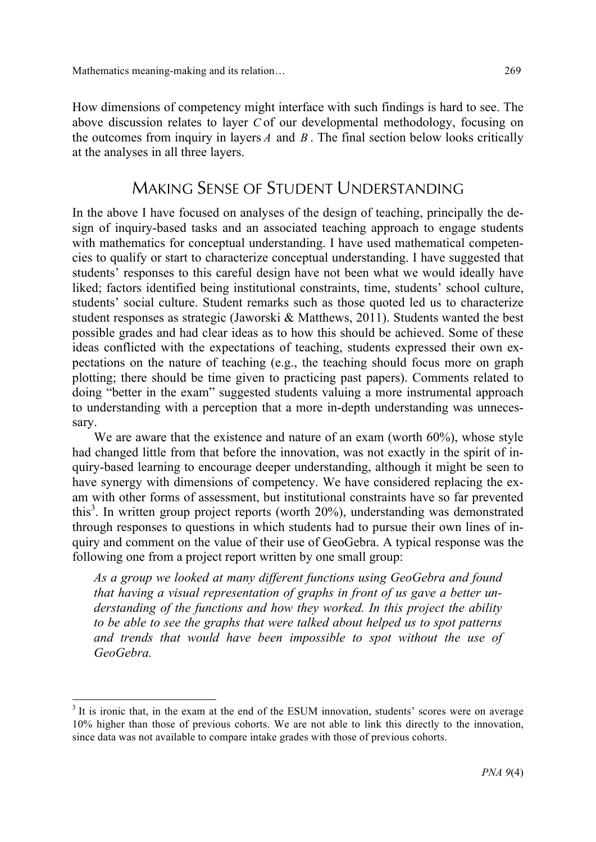How dimensions of competency might interface with such findings is hard to see. The above discussion relates to layer *C* of our developmental methodology, focusing on the outcomes from inquiry in layers *A* and *B* . The final section below looks critically at the analyses in all three layers.

### MAKING SENSE OF STUDENT UNDERSTANDING

In the above I have focused on analyses of the design of teaching, principally the design of inquiry-based tasks and an associated teaching approach to engage students with mathematics for conceptual understanding. I have used mathematical competencies to qualify or start to characterize conceptual understanding. I have suggested that students' responses to this careful design have not been what we would ideally have liked; factors identified being institutional constraints, time, students' school culture, students' social culture. Student remarks such as those quoted led us to characterize student responses as strategic (Jaworski & Matthews, 2011). Students wanted the best possible grades and had clear ideas as to how this should be achieved. Some of these ideas conflicted with the expectations of teaching, students expressed their own expectations on the nature of teaching (e.g., the teaching should focus more on graph plotting; there should be time given to practicing past papers). Comments related to doing "better in the exam" suggested students valuing a more instrumental approach to understanding with a perception that a more in-depth understanding was unnecessary.

We are aware that the existence and nature of an exam (worth 60%), whose style had changed little from that before the innovation, was not exactly in the spirit of inquiry-based learning to encourage deeper understanding, although it might be seen to have synergy with dimensions of competency. We have considered replacing the exam with other forms of assessment, but institutional constraints have so far prevented this<sup>3</sup>. In written group project reports (worth 20%), understanding was demonstrated through responses to questions in which students had to pursue their own lines of inquiry and comment on the value of their use of GeoGebra. A typical response was the following one from a project report written by one small group:

*As a group we looked at many different functions using GeoGebra and found that having a visual representation of graphs in front of us gave a better understanding of the functions and how they worked. In this project the ability to be able to see the graphs that were talked about helped us to spot patterns and trends that would have been impossible to spot without the use of GeoGebra.* 

<sup>&</sup>lt;sup>3</sup> It is ironic that, in the exam at the end of the ESUM innovation, students' scores were on average 10% higher than those of previous cohorts. We are not able to link this directly to the innovation, since data was not available to compare intake grades with those of previous cohorts.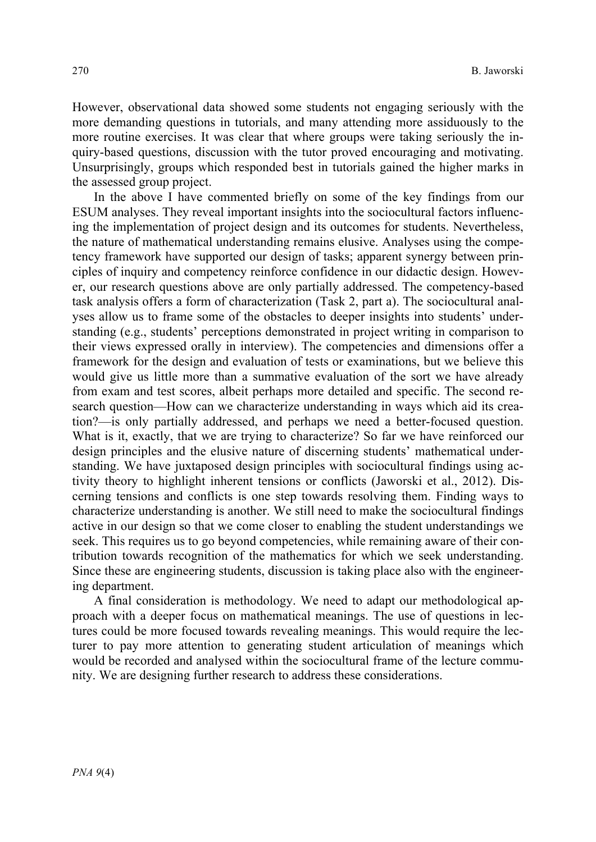However, observational data showed some students not engaging seriously with the more demanding questions in tutorials, and many attending more assiduously to the more routine exercises. It was clear that where groups were taking seriously the inquiry-based questions, discussion with the tutor proved encouraging and motivating. Unsurprisingly, groups which responded best in tutorials gained the higher marks in the assessed group project.

In the above I have commented briefly on some of the key findings from our ESUM analyses. They reveal important insights into the sociocultural factors influencing the implementation of project design and its outcomes for students. Nevertheless, the nature of mathematical understanding remains elusive. Analyses using the competency framework have supported our design of tasks; apparent synergy between principles of inquiry and competency reinforce confidence in our didactic design. However, our research questions above are only partially addressed. The competency-based task analysis offers a form of characterization (Task 2, part a). The sociocultural analyses allow us to frame some of the obstacles to deeper insights into students' understanding (e.g., students' perceptions demonstrated in project writing in comparison to their views expressed orally in interview). The competencies and dimensions offer a framework for the design and evaluation of tests or examinations, but we believe this would give us little more than a summative evaluation of the sort we have already from exam and test scores, albeit perhaps more detailed and specific. The second research question—How can we characterize understanding in ways which aid its creation?—is only partially addressed, and perhaps we need a better-focused question. What is it, exactly, that we are trying to characterize? So far we have reinforced our design principles and the elusive nature of discerning students' mathematical understanding. We have juxtaposed design principles with sociocultural findings using activity theory to highlight inherent tensions or conflicts (Jaworski et al., 2012). Discerning tensions and conflicts is one step towards resolving them. Finding ways to characterize understanding is another. We still need to make the sociocultural findings active in our design so that we come closer to enabling the student understandings we seek. This requires us to go beyond competencies, while remaining aware of their contribution towards recognition of the mathematics for which we seek understanding. Since these are engineering students, discussion is taking place also with the engineering department.

A final consideration is methodology. We need to adapt our methodological approach with a deeper focus on mathematical meanings. The use of questions in lectures could be more focused towards revealing meanings. This would require the lecturer to pay more attention to generating student articulation of meanings which would be recorded and analysed within the sociocultural frame of the lecture community. We are designing further research to address these considerations.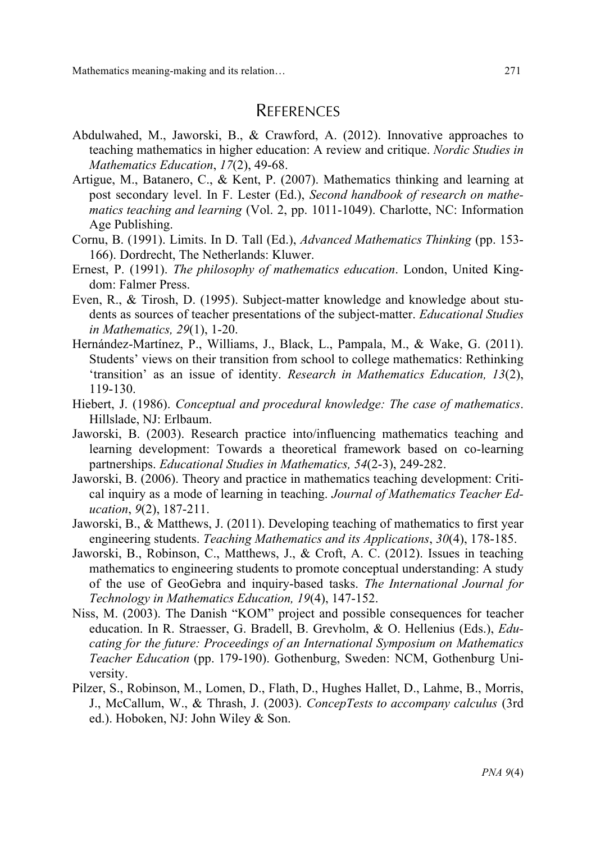Mathematics meaning-making and its relation… 271

### **REFERENCES**

- Abdulwahed, M., Jaworski, B., & Crawford, A. (2012). Innovative approaches to teaching mathematics in higher education: A review and critique. *Nordic Studies in Mathematics Education*, *17*(2), 49-68.
- Artigue, M., Batanero, C., & Kent, P. (2007). Mathematics thinking and learning at post secondary level. In F. Lester (Ed.), *Second handbook of research on mathematics teaching and learning* (Vol. 2, pp. 1011-1049). Charlotte, NC: Information Age Publishing.
- Cornu, B. (1991). Limits. In D. Tall (Ed.), *Advanced Mathematics Thinking* (pp. 153- 166). Dordrecht, The Netherlands: Kluwer.
- Ernest, P. (1991). *The philosophy of mathematics education*. London, United Kingdom: Falmer Press.
- Even, R., & Tirosh, D. (1995). Subject-matter knowledge and knowledge about students as sources of teacher presentations of the subject-matter. *Educational Studies in Mathematics, 29*(1), 1-20.
- Hernández-Martínez, P., Williams, J., Black, L., Pampala, M., & Wake, G. (2011). Students' views on their transition from school to college mathematics: Rethinking 'transition' as an issue of identity. *Research in Mathematics Education, 13*(2), 119-130.
- Hiebert, J. (1986). *Conceptual and procedural knowledge: The case of mathematics*. Hillslade, NJ: Erlbaum.
- Jaworski, B. (2003). Research practice into/influencing mathematics teaching and learning development: Towards a theoretical framework based on co-learning partnerships. *Educational Studies in Mathematics, 54*(2-3), 249-282.
- Jaworski, B. (2006). Theory and practice in mathematics teaching development: Critical inquiry as a mode of learning in teaching. *Journal of Mathematics Teacher Education*, *9*(2), 187-211.
- Jaworski, B., & Matthews, J. (2011). Developing teaching of mathematics to first year engineering students. *Teaching Mathematics and its Applications*, *30*(4), 178-185.
- Jaworski, B., Robinson, C., Matthews, J., & Croft, A. C. (2012). Issues in teaching mathematics to engineering students to promote conceptual understanding: A study of the use of GeoGebra and inquiry-based tasks. *The International Journal for Technology in Mathematics Education, 19*(4), 147-152.
- Niss, M. (2003). The Danish "KOM" project and possible consequences for teacher education. In R. Straesser, G. Bradell, B. Grevholm, & O. Hellenius (Eds.), *Educating for the future: Proceedings of an International Symposium on Mathematics Teacher Education* (pp. 179-190). Gothenburg, Sweden: NCM, Gothenburg University.
- Pilzer, S., Robinson, M., Lomen, D., Flath, D., Hughes Hallet, D., Lahme, B., Morris, J., McCallum, W., & Thrash, J. (2003). *ConcepTests to accompany calculus* (3rd ed.). Hoboken, NJ: John Wiley & Son.